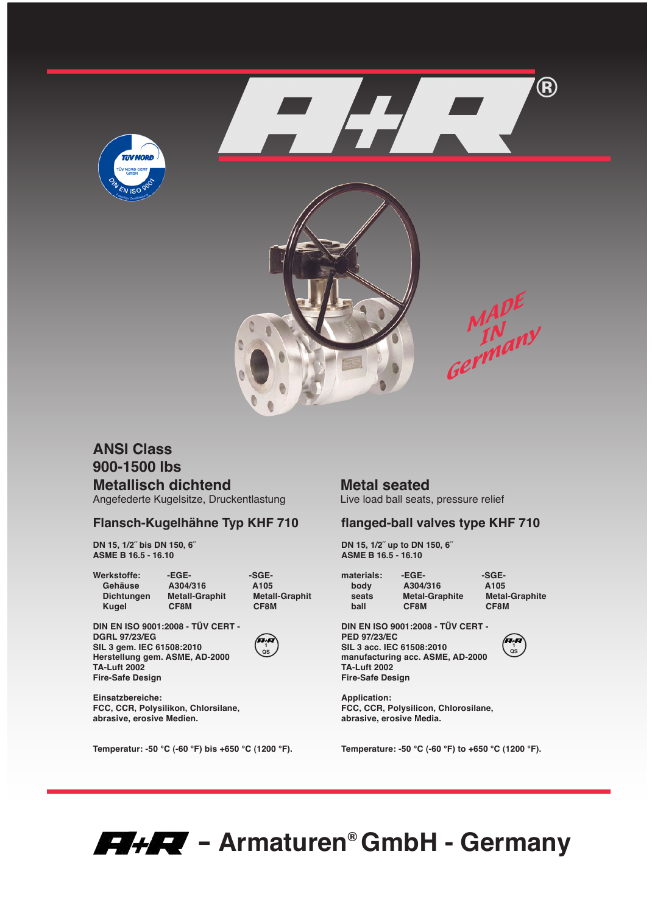



## **ANSI Class 900-1500 lbs Metallisch dichtend** Angefederte Kugelsitze, Druckentlastung

### **Flansch-Kugelhähne Typ KHF 710**

**DN 15, 1/2˝ bis DN 150, 6˝ ASME B 16.5 - 16.10**

**Werkstoffe: -EGE- -SGE-** Gehäuse A304/316 A105<br>Dichtungen Metall-Graphit Metall-Graphit **Kugel** 

**Metall-Graphit Metall<br>CF8M CF8M** 

**DIN EN ISO 9001:2008 - TÜV CERT - DGRL 97/23/EG SIL 3 gem. IEC 61508:2010 Herstellung gem. ASME, AD-2000 TA-Luft 2002 Fire-Safe Design**



**Einsatzbereiche: FCC, CCR, Polysilikon, Chlorsilane, abrasive, erosive Medien.**

**Temperatur: -50 °C (-60 °F) bis +650 °C (1200 °F).**

## **Metal seated**

Live load ball seats, pressure relief

#### **flanged-ball valves type KHF 710**

**DN 15, 1/2˝ up to DN 150, 6˝ ASME B 16.5 - 16.10**

materials: -EGE- - -SGE-<br>body A304/316 A105 **seats** Metal-Graphite Metal-<br> **ball** CF8M CF8M  **ball CF8M CF8M**

**body** A304/316 A105<br>  **body** Metal-Graphite Metal-Graphite

**DIN EN ISO 9001:2008 - TÜV CERT - PED 97/23/EC SIL 3 acc. IEC 61508:2010 manufacturing acc. ASME, AD-2000 TA-Luft 2002 Fire-Safe Design**



**Application: FCC, CCR, Polysilicon, Chlorosilane, abrasive, erosive Media.**

**Temperature: -50 °C (-60 °F) to +650 °C (1200 °F).**

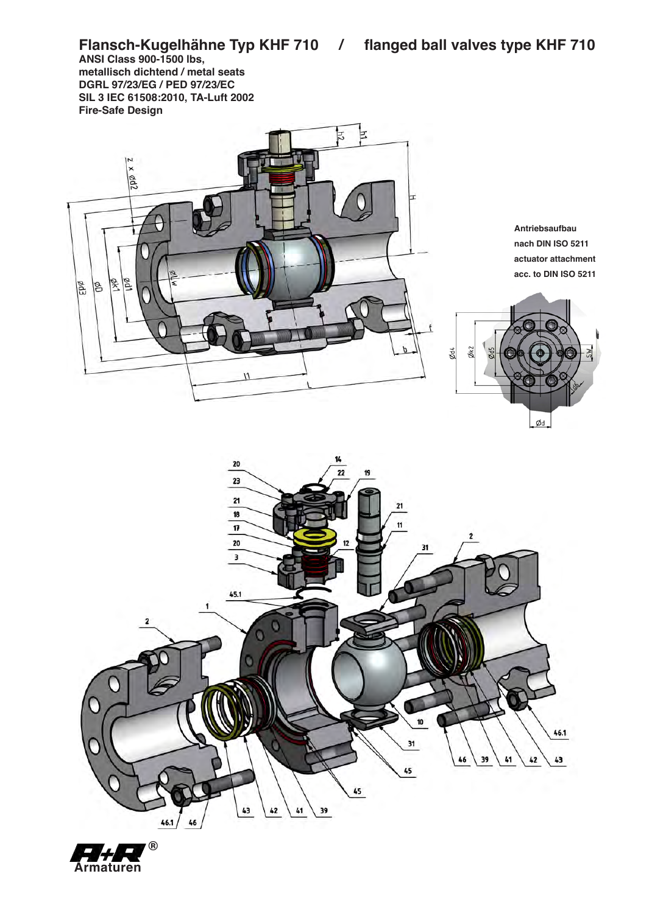**ANSI Class 900-1500 lbs, metallisch dichtend / metal seats DGRL 97/23/EG / PED 97/23/EC SIL 3 IEC 61508:2010, TA-Luft 2002 Fire-Safe Design**



**Antriebsaufbau nach DIN ISO 5211 actuator attachment acc. to DIN ISO 5211**





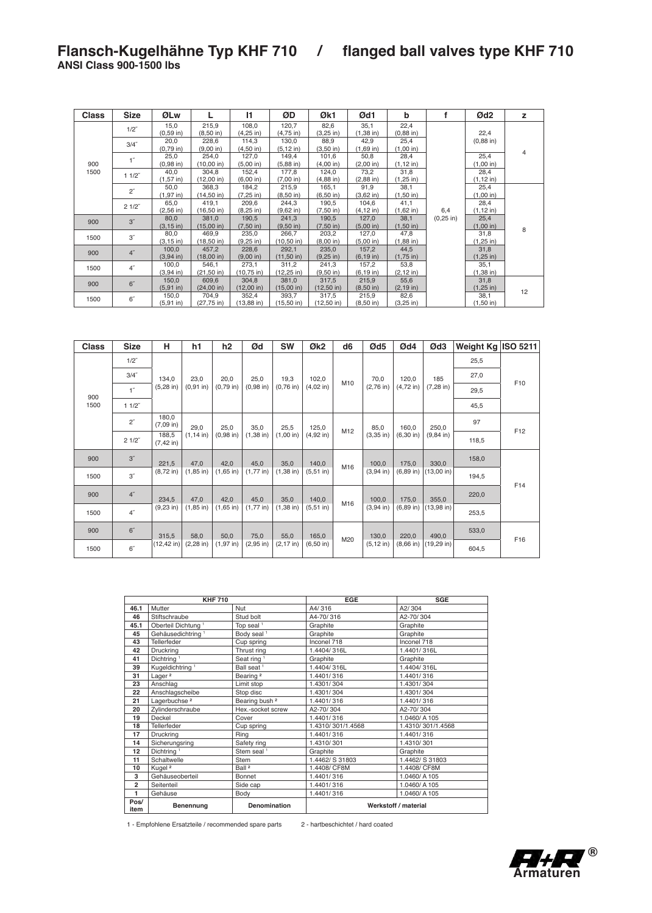| <b>Class</b> | <b>Size</b>        | ØLw           |                      | 11                   | ØD                  | Øk1                 | Ød1                  | b            |              | Ød <sub>2</sub> | z              |
|--------------|--------------------|---------------|----------------------|----------------------|---------------------|---------------------|----------------------|--------------|--------------|-----------------|----------------|
|              | $1/2$ "            | 15,0          | 215,9                | 108,0                | 120,7               | 82,6                | 35,1                 | 22,4         |              |                 |                |
|              |                    | $(0,59)$ in)  | $(8,50)$ in)         | $(4,25$ in)          | $(4,75 \text{ in})$ | $(3,25$ in)         | $(1,38)$ in)         | $(0,88)$ in) |              | 22,4            |                |
|              | 3/4"               | 20,0          | 228,6                | 114,3                | 130,0               | 88,9                | 42,9                 | 25,4         |              | $(0,88)$ in)    |                |
|              |                    | $(0,79)$ in)  | (9,00 in)            | $(4,50)$ in)         | $(5, 12$ in)        | $(3,50)$ in)        | $(1,69)$ in)         | (1,00 in)    |              |                 | $\overline{4}$ |
|              | 1''                | 25,0          | 254,0                | 127,0                | 149,4               | 101,6               | 50,8                 | 28,4         |              | 25,4            |                |
| 900          |                    | $(0,98)$ in)  | (10,00 in)           | (5,00 in)            | $(5,88)$ in)        | (4,00 in)           | (2,00 in)            | $(1, 12$ in) |              | (1,00 in)       |                |
| 1500         | $11/2$ "           | 40,0          | 304,8                | 152,4                | 177,8               | 124,0               | 73,2                 | 31,8         |              | 28,4            |                |
|              |                    | $(1,57$ in)   | $(12,00 \text{ in})$ | (6,00 in)            | (7,00 in)           | $(4,88$ in)         | $(2,88)$ in)         | $(1,25$ in)  |              | $(1, 12$ in)    |                |
|              | $2^{r}$            | 50,0          | 368,3                | 184,2                | 215,9               | 165,1               | 91,9                 | 38,1         |              | 25,4            |                |
|              |                    | $(1,97$ in)   | $(14,50 \text{ in})$ | $(7.25$ in)          | $(8,50)$ in)        | $(6,50)$ in)        | $(3,62 \text{ in})$  | $(1,50)$ in) |              | (1,00 in)       |                |
|              | 21/2"              | 65,0          | 419,1                | 209,6                | 244,3               | 190,5               | 104,6                | 41,1         |              | 28,4            |                |
|              |                    | $(2,56)$ in)  | $(16, 50)$ in)       | $(8,25)$ in)         | $(9,62 \text{ in})$ | $(7,50)$ in)        | $(4, 12 \text{ in})$ | $(1,62$ in)  | 6,4          | $(1, 12$ in)    |                |
| 900          | 3''                | 80,0          | 381,0                | 190,5                | 241,3               | 190,5               | 127,0                | 38,1         | $(0,25)$ in) | 25,4            |                |
|              |                    | $(3, 15)$ in) | $(15,00 \text{ in})$ | $(7,50$ in)          | $(9,50)$ in)        | $(7,50 \text{ in})$ | (5,00 in)            | $(1,50)$ in) |              | (1,00 in)       | 8              |
| 1500         | $3^{\prime\prime}$ | 80,0          | 469,9                | 235,0                | 266,7               | 203,2               | 127,0                | 47,8         |              | 31,8            |                |
|              |                    | $(3, 15)$ in) | $(18,50)$ in)        | $(9,25)$ in)         | $(10, 50$ in)       | (8,00 in)           | (5,00 in)            | $(1,88$ in)  |              | $(1,25$ in)     |                |
| 900          | 4 <sup>''</sup>    | 100,0         | 457,2                | 228,6                | 292,1               | 235,0               | 157,2                | 44,5         |              | 31,8            |                |
|              |                    | $(3,94)$ in)  | $(18,00 \text{ in})$ | (9,00 in)            | $(11,50$ in)        | $(9,25)$ in         | $(6, 19)$ in)        | $(1,75)$ in) |              | $(1,25$ in)     |                |
| 1500         | $4^{\prime\prime}$ | 100,0         | 546,1                | 273,1                | 311,2               | 241,3               | 157,2                | 53,8         |              | 35,1            |                |
|              |                    | $(3,94)$ in)  | $(21,50)$ in)        | $(10, 75)$ in)       | $(12, 25)$ in)      | $(9,50)$ in)        | $(6, 19)$ in)        | $(2, 12$ in) |              | $(1,38$ in)     |                |
| 900          | 6 <sup>''</sup>    | 150,0         | 609,6                | 304,8                | 381,0               | 317,5               | 215,9                | 55,6         |              | 31,8            |                |
|              |                    | $(5, 91$ in)  | $(24,00 \text{ in})$ | $(12,00 \text{ in})$ | (15,00 in)          | $(12,50)$ in)       | $(8,50)$ in)         | $(2, 19)$ in |              | $(1,25$ in)     | 12             |
|              | $6^{\prime\prime}$ | 150,0         | 704,9                | 352,4                | 393,7               | 317,5               | 215,9                | 82,6         |              | 38,1            |                |
| 1500         |                    | $(5, 91$ in)  | $(27, 75)$ in)       | $(13,88 \text{ in})$ | $(15,50)$ in)       | (12,50 in)          | $(8,50)$ in)         | $(3,25)$ in) |              | $(1,50$ in)     |                |

| <b>Class</b> | <b>Size</b>        | н                     | h1                   | h2                   | Ød                   | <b>SW</b>            | Øk <sub>2</sub>              | d <sub>6</sub> | Ød5                   | Ød4                   | Ød3                           | <b>Weight Kg</b> | <b>ISO 5211</b> |       |       |  |
|--------------|--------------------|-----------------------|----------------------|----------------------|----------------------|----------------------|------------------------------|----------------|-----------------------|-----------------------|-------------------------------|------------------|-----------------|-------|-------|--|
|              | $1/2$ "            |                       |                      | 20,0<br>$(0,79)$ in) | 25,0<br>$(0,98)$ in) | 19,3<br>$(0,76)$ in) | 102,0<br>$(4,02 \text{ in})$ | M10            | 70,0<br>$(2,76)$ in)  | 120,0<br>$(4, 72$ in) | 185<br>$(7,28)$ in)           | 25,5             | F <sub>10</sub> |       |       |  |
|              | $3/4$ "            | 134,0                 | 23,0                 |                      |                      |                      |                              |                |                       |                       |                               | 27,0             |                 |       |       |  |
| 900          | 1 <sup>''</sup>    | $(5,28)$ in)          | $(0,91$ in)          |                      |                      |                      |                              |                |                       |                       |                               | 29,5             |                 |       |       |  |
| 1500         | $11/2$ "           |                       |                      |                      |                      |                      |                              |                |                       |                       |                               | 45,5             |                 |       |       |  |
|              | $2^{n}$            | 180,0<br>$(7,09$ in)  | 29,0                 | 25,0                 | 35,0<br>$(1,38)$ in) | 25,5<br>(1,00 in)    | 125,0<br>$(4,92 \text{ in})$ | M12            | 85,0<br>$(3,35)$ in)  | 160,0<br>$(6,30)$ in) | 250.0<br>$(9, 84 \text{ in})$ | 97               | F <sub>12</sub> |       |       |  |
|              | 21/2"              | 188,5<br>$(7, 42$ in) | $(1, 14 \text{ in})$ | $(0,98)$ in)         |                      |                      |                              |                |                       |                       |                               | 118,5            |                 |       |       |  |
| 900          | 3 <sup>''</sup>    | 221.5                 | 47,0                 | 42,0                 | 45,0                 | 35,0                 | 140,0                        | M16            | 100,0                 | 175,0<br>$(6,89)$ in) | 330,0<br>$(13,00 \text{ in})$ | 158,0            | F14             |       |       |  |
| 1500         | $3^{\prime\prime}$ | $(8,72 \text{ in})$   | $(1, 85)$ in)        | $(1,65)$ in)         | $(1,77 \text{ in})$  | $(1,38)$ in)         | $(5, 51)$ in)                |                | $(3,94)$ in)          |                       |                               | 194,5            |                 |       |       |  |
| 900          | $4^{\prime\prime}$ | 234,5                 | 47,0                 | 42,0                 | 45,0                 | 35,0                 | 140,0                        |                | 100,0<br>$(3,94)$ in) | 175,0<br>$(6,89)$ in) | 355,0<br>$(13,98)$ in)        | 220,0            |                 |       |       |  |
| 1500         | $4^{\prime\prime}$ | $(9,23 \text{ in})$   | $(1, 85)$ in)        | $(1,65 \infty)$      | $(1,77 \text{ in})$  | $(1,38)$ in)         | $(5,51)$ in)                 | M16            |                       |                       |                               | 253,5            |                 |       |       |  |
| 900          | 6''                | 315,5                 |                      |                      |                      | 58,0                 | 50,0                         | 75,0           | 55,0                  | 165,0                 |                               | 130,0            | 220,0           | 490,0 | 533,0 |  |
| 1500         | 6''                | $(12, 42)$ in)        | $(2, 28)$ in)        | $(1,97$ in)          | $(2,95)$ in)         | $(2, 17$ in)         | $(6,50)$ in)                 | M20            | $(5, 12$ in)          | $(8,66)$ in)          | $(19,29)$ in)                 | 604,5            | F <sub>16</sub> |       |       |  |

|                           | <b>KHF 710</b>                 |                           | EGE                  | <b>SGE</b>          |  |
|---------------------------|--------------------------------|---------------------------|----------------------|---------------------|--|
| 46.1                      | Mutter                         | Nut                       | A4/316               | A <sub>2</sub> /304 |  |
| 46                        | Stiftschraube                  | Stud bolt                 | A4-70/316            | A2-70/304           |  |
| 45.1                      | Oberteil Dichtung <sup>1</sup> | Top seal <sup>1</sup>     | Graphite             | Graphite            |  |
| 45                        | Gehäusedichtring <sup>1</sup>  | Body seal <sup>1</sup>    | Graphite             | Graphite            |  |
| 43                        | Tellerfeder                    | Cup spring                | Inconel 718          | Inconel 718         |  |
| 42                        | Druckring                      | Thrust ring               | 1.4404/316L          | 1.4401/316L         |  |
| 41                        | Dichtring <sup>1</sup>         | Seat ring <sup>1</sup>    | Graphite             | Graphite            |  |
| 39                        | Kugeldichtring <sup>1</sup>    | Ball seat <sup>1</sup>    | 1.4404/316L          | 1.4404/316L         |  |
| 31                        | Lager <sup>2</sup>             | Bearing <sup>2</sup>      | 1.4401/316           | 1.4401/316          |  |
| 23                        | Anschlag                       | Limit stop                | 1.4301/304           | 1.4301/304          |  |
| 22                        | Anschlagscheibe                | Stop disc                 | 1.4301/304           | 1.4301/304          |  |
| 21                        | Lagerbuchse <sup>2</sup>       | Bearing bush <sup>2</sup> | 1.4401/316           | 1.4401/316          |  |
| 20                        | Zylinderschraube               | Hex.-socket screw         | A2-70/304            | A2-70/304           |  |
| 19                        | Deckel                         | Cover                     | 1.4401/316           | 1.0460/A105         |  |
| 18                        | Tellerfeder                    | Cup spring                | 1.4310/301/1.4568    | 1.4310/301/1.4568   |  |
| 17                        | Druckring                      | Ring                      | 1.4401/316           | 1.4401/316          |  |
| 14                        | Sicherungsring                 | Safety ring               | 1.4310/301           | 1.4310/301          |  |
| 12                        | Dichtring <sup>1</sup>         | Stem seal <sup>1</sup>    | Graphite             | Graphite            |  |
| 11                        | Schaltwelle                    | Stem                      | 1.4462/S31803        | 1.4462/S 31803      |  |
| 10                        | Kugel <sup>2</sup>             | Ball <sup>2</sup>         | 1.4408/ CF8M         | 1.4408/ CF8M        |  |
| 3                         | Gehäuseoberteil                | Bonnet                    | 1.4401/316           | 1.0460/A105         |  |
| $\overline{2}$            | Seitenteil                     | Side cap                  | 1.4401/316           | 1.0460/A105         |  |
| 1                         | Gehäuse                        | Body                      | 1.4401/316           | 1.0460/A105         |  |
| Pos/<br>Benennung<br>item |                                | Denomination              | Werkstoff / material |                     |  |

1 - Empfohlene Ersatzteile / recommended spare parts 2 - hartbeschichtet / hard coated